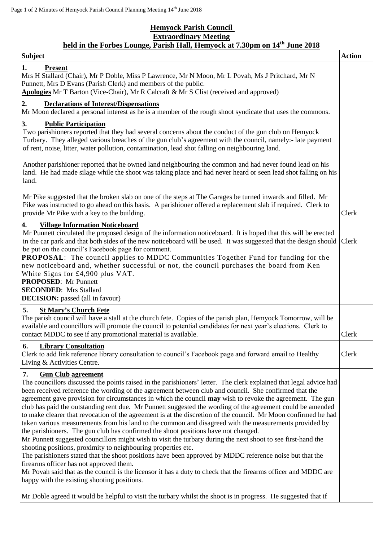## **Hemyock Parish Council Extraordinary Meeting held in the Forbes Lounge, Parish Hall, Hemyock at 7.30pm on 14th June 2018**

| <b>Subject</b>                                                                                                                                                                                                                                                                                                                                                                                                                                                                                                                                                                                                                                                                                                                                                                                                                                                                                                                                                                                                                                                                                                                                                                                                                                                                                                        | <b>Action</b> |
|-----------------------------------------------------------------------------------------------------------------------------------------------------------------------------------------------------------------------------------------------------------------------------------------------------------------------------------------------------------------------------------------------------------------------------------------------------------------------------------------------------------------------------------------------------------------------------------------------------------------------------------------------------------------------------------------------------------------------------------------------------------------------------------------------------------------------------------------------------------------------------------------------------------------------------------------------------------------------------------------------------------------------------------------------------------------------------------------------------------------------------------------------------------------------------------------------------------------------------------------------------------------------------------------------------------------------|---------------|
| 1.<br><b>Present</b><br>Mrs H Stallard (Chair), Mr P Doble, Miss P Lawrence, Mr N Moon, Mr L Povah, Ms J Pritchard, Mr N<br>Punnett, Mrs D Evans (Parish Clerk) and members of the public.<br>Apologies Mr T Barton (Vice-Chair), Mr R Calcraft & Mr S Clist (received and approved)                                                                                                                                                                                                                                                                                                                                                                                                                                                                                                                                                                                                                                                                                                                                                                                                                                                                                                                                                                                                                                  |               |
| <b>Declarations of Interest/Dispensations</b><br>2.<br>Mr Moon declared a personal interest as he is a member of the rough shoot syndicate that uses the commons.                                                                                                                                                                                                                                                                                                                                                                                                                                                                                                                                                                                                                                                                                                                                                                                                                                                                                                                                                                                                                                                                                                                                                     |               |
| 3.<br><b>Public Participation</b><br>Two parishioners reported that they had several concerns about the conduct of the gun club on Hemyock<br>Turbary. They alleged various breaches of the gun club's agreement with the council, namely:- late payment<br>of rent, noise, litter, water pollution, contamination, lead shot falling on neighbouring land.                                                                                                                                                                                                                                                                                                                                                                                                                                                                                                                                                                                                                                                                                                                                                                                                                                                                                                                                                           |               |
| Another parishioner reported that he owned land neighbouring the common and had never found lead on his<br>land. He had made silage while the shoot was taking place and had never heard or seen lead shot falling on his<br>land.                                                                                                                                                                                                                                                                                                                                                                                                                                                                                                                                                                                                                                                                                                                                                                                                                                                                                                                                                                                                                                                                                    |               |
| Mr Pike suggested that the broken slab on one of the steps at The Garages be turned inwards and filled. Mr<br>Pike was instructed to go ahead on this basis. A parishioner offered a replacement slab if required. Clerk to<br>provide Mr Pike with a key to the building.                                                                                                                                                                                                                                                                                                                                                                                                                                                                                                                                                                                                                                                                                                                                                                                                                                                                                                                                                                                                                                            | Clerk         |
| 4.<br><b>Village Information Noticeboard</b><br>Mr Punnett circulated the proposed design of the information noticeboard. It is hoped that this will be erected<br>in the car park and that both sides of the new noticeboard will be used. It was suggested that the design should  <br>be put on the council's Facebook page for comment.<br><b>PROPOSAL:</b> The council applies to MDDC Communities Together Fund for funding for the<br>new noticeboard and, whether successful or not, the council purchases the board from Ken<br>White Signs for £4,900 plus VAT.<br><b>PROPOSED:</b> Mr Punnett<br><b>SECONDED:</b> Mrs Stallard<br><b>DECISION:</b> passed (all in favour)                                                                                                                                                                                                                                                                                                                                                                                                                                                                                                                                                                                                                                  | Clerk         |
| <b>St Mary's Church Fete</b><br>5.<br>The parish council will have a stall at the church fete. Copies of the parish plan, Hemyock Tomorrow, will be<br>available and councillors will promote the council to potential candidates for next year's elections. Clerk to<br>contact MDDC to see if any promotional material is available.                                                                                                                                                                                                                                                                                                                                                                                                                                                                                                                                                                                                                                                                                                                                                                                                                                                                                                                                                                                | Clerk         |
| <b>Library Consultation</b><br>6.<br>Clerk to add link reference library consultation to council's Facebook page and forward email to Healthy<br>Living & Activities Centre.                                                                                                                                                                                                                                                                                                                                                                                                                                                                                                                                                                                                                                                                                                                                                                                                                                                                                                                                                                                                                                                                                                                                          | Clerk         |
| <b>Gun Club agreement</b><br>7.<br>The councillors discussed the points raised in the parishioners' letter. The clerk explained that legal advice had<br>been received reference the wording of the agreement between club and council. She confirmed that the<br>agreement gave provision for circumstances in which the council may wish to revoke the agreement. The gun<br>club has paid the outstanding rent due. Mr Punnett suggested the wording of the agreement could be amended<br>to make clearer that revocation of the agreement is at the discretion of the council. Mr Moon confirmed he had<br>taken various measurements from his land to the common and disagreed with the measurements provided by<br>the parishioners. The gun club has confirmed the shoot positions have not changed.<br>Mr Punnett suggested councillors might wish to visit the turbary during the next shoot to see first-hand the<br>shooting positions, proximity to neighbouring properties etc.<br>The parishioners stated that the shoot positions have been approved by MDDC reference noise but that the<br>firearms officer has not approved them.<br>Mr Povah said that as the council is the licensor it has a duty to check that the firearms officer and MDDC are<br>happy with the existing shooting positions. |               |
| Mr Doble agreed it would be helpful to visit the turbary whilst the shoot is in progress. He suggested that if                                                                                                                                                                                                                                                                                                                                                                                                                                                                                                                                                                                                                                                                                                                                                                                                                                                                                                                                                                                                                                                                                                                                                                                                        |               |